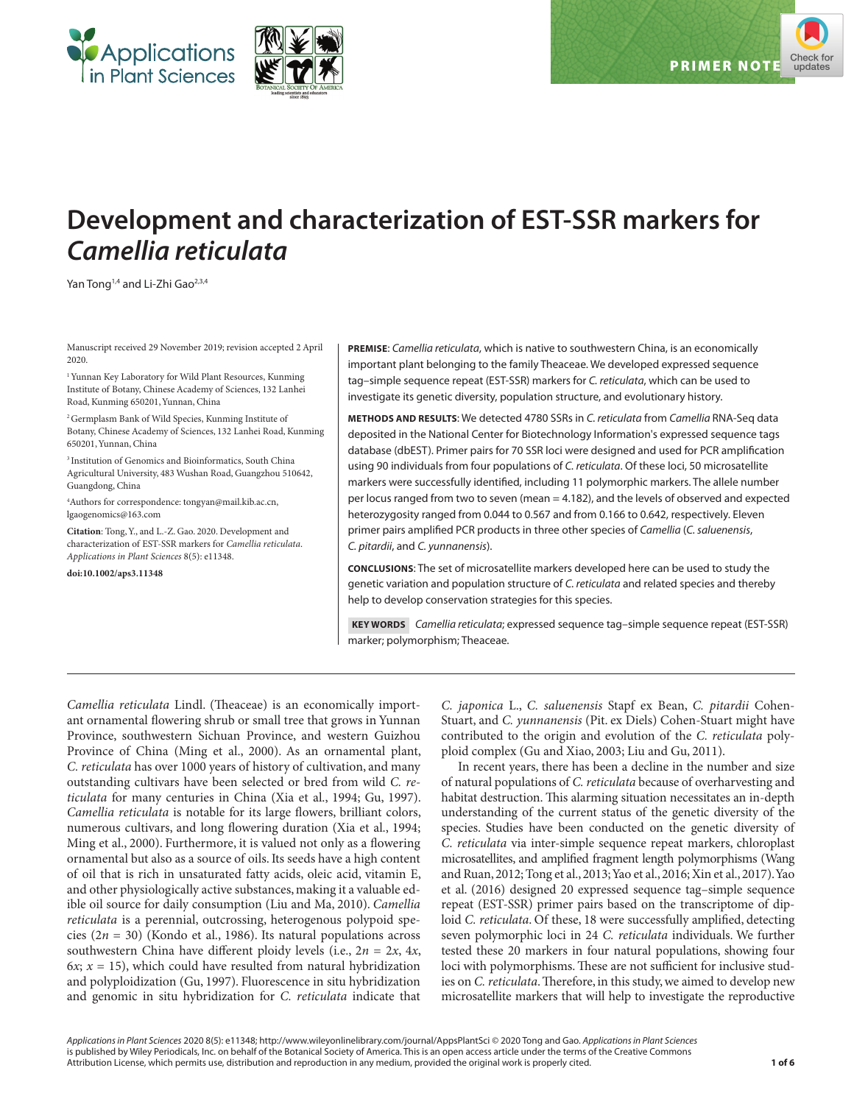



# **Development and characterization of EST-SSR markers for**  *Camellia reticulata*

Yan Tong<sup>1,4</sup> and Li-Zhi Gao<sup>2,3,4</sup>

Manuscript received 29 November 2019; revision accepted 2 April 2020.

<sup>1</sup> Yunnan Key Laboratory for Wild Plant Resources, Kunming Institute of Botany, Chinese Academy of Sciences, 132 Lanhei Road, Kunming 650201, Yunnan, China

2 Germplasm Bank of Wild Species, Kunming Institute of Botany, Chinese Academy of Sciences, 132 Lanhei Road, Kunming 650201, Yunnan, China

3 Institution of Genomics and Bioinformatics, South China Agricultural University, 483 Wushan Road, Guangzhou 510642, Guangdong, China

4 Authors for correspondence: [tongyan@mail.kib.ac.cn](mailto:tongyan@mail.kib.ac.cn), [lgaogenomics@163.com](mailto:lgaogenomics@163.com)

**Citation**: Tong, Y., and L.-Z. Gao. 2020. Development and characterization of EST-SSR markers for *Camellia reticulata*. *Applications in Plant Sciences* 8(5): e11348.

**doi:10.1002/aps3.11348**

**PREMISE**: *Camellia reticulata*, which is native to southwestern China, is an economically important plant belonging to the family Theaceae. We developed expressed sequence tag–simple sequence repeat (EST-SSR) markers for *C. reticulata*, which can be used to investigate its genetic diversity, population structure, and evolutionary history.

**METHODS AND RESULTS**: We detected 4780 SSRs in *C. reticulata* from *Camellia* RNA-Seq data deposited in the National Center for Biotechnology Information's expressed sequence tags database (dbEST). Primer pairs for 70 SSR loci were designed and used for PCR amplification using 90 individuals from four populations of *C. reticulata*. Of these loci, 50 microsatellite markers were successfully identified, including 11 polymorphic markers. The allele number per locus ranged from two to seven (mean = 4.182), and the levels of observed and expected heterozygosity ranged from 0.044 to 0.567 and from 0.166 to 0.642, respectively. Eleven primer pairs amplified PCR products in three other species of *Camellia* (*C. saluenensis*, *C. pitardii*, and *C. yunnanensis*).

**CONCLUSIONS**: The set of microsatellite markers developed here can be used to study the genetic variation and population structure of *C. reticulata* and related species and thereby help to develop conservation strategies for this species.

 **KEY WORDS** *Camellia reticulata*; expressed sequence tag–simple sequence repeat (EST-SSR) marker; polymorphism; Theaceae.

*Camellia reticulata* Lindl. (Theaceae) is an economically important ornamental flowering shrub or small tree that grows in Yunnan Province, southwestern Sichuan Province, and western Guizhou Province of China (Ming et al., 2000). As an ornamental plant, *C. reticulata* has over 1000 years of history of cultivation, and many outstanding cultivars have been selected or bred from wild *C. reticulata* for many centuries in China (Xia et al., 1994; Gu, 1997). *Camellia reticulata* is notable for its large flowers, brilliant colors, numerous cultivars, and long flowering duration (Xia et al., 1994; Ming et al., 2000). Furthermore, it is valued not only as a flowering ornamental but also as a source of oils. Its seeds have a high content of oil that is rich in unsaturated fatty acids, oleic acid, vitamin E, and other physiologically active substances, making it a valuable edible oil source for daily consumption (Liu and Ma, 2010). *Camellia reticulata* is a perennial, outcrossing, heterogenous polypoid species (2*n* = 30) (Kondo et al., 1986). Its natural populations across southwestern China have different ploidy levels (i.e., 2*n* = 2*x*, 4*x*, 6*x*;  $x = 15$ ), which could have resulted from natural hybridization and polyploidization (Gu, 1997). Fluorescence in situ hybridization and genomic in situ hybridization for *C. reticulata* indicate that

*C. japonica* L., *C. saluenensis* Stapf ex Bean, *C. pitardii* Cohen-Stuart, and *C. yunnanensis* (Pit. ex Diels) Cohen-Stuart might have contributed to the origin and evolution of the *C. reticulata* polyploid complex (Gu and Xiao, 2003; Liu and Gu, 2011).

In recent years, there has been a decline in the number and size of natural populations of *C. reticulata* because of overharvesting and habitat destruction. This alarming situation necessitates an in-depth understanding of the current status of the genetic diversity of the species. Studies have been conducted on the genetic diversity of *C. reticulata* via inter-simple sequence repeat markers, chloroplast microsatellites, and amplified fragment length polymorphisms (Wang and Ruan, 2012; Tong et al., 2013; Yao et al., 2016; Xin et al., 2017). Yao et al. (2016) designed 20 expressed sequence tag–simple sequence repeat (EST-SSR) primer pairs based on the transcriptome of diploid *C. reticulata*. Of these, 18 were successfully amplified, detecting seven polymorphic loci in 24 *C. reticulata* individuals. We further tested these 20 markers in four natural populations, showing four loci with polymorphisms. These are not sufficient for inclusive studies on *C. reticulata*. Therefore, in this study, we aimed to develop new microsatellite markers that will help to investigate the reproductive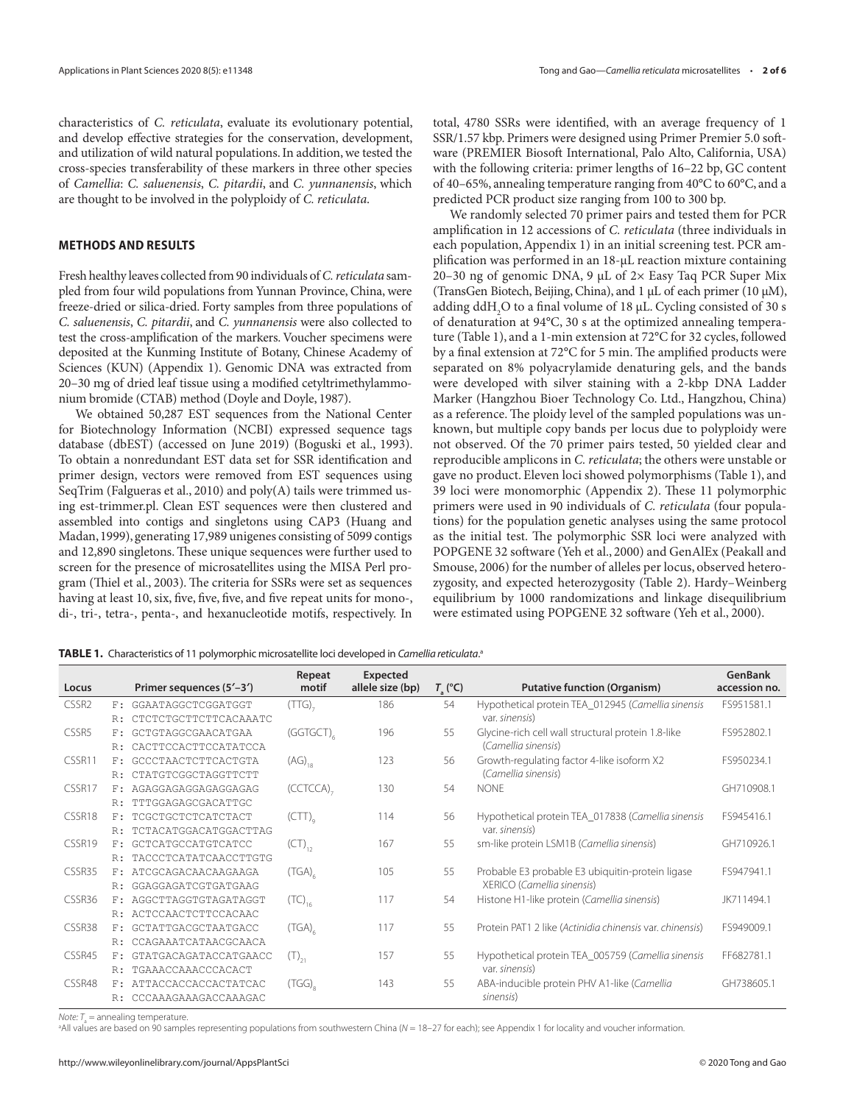characteristics of *C. reticulata*, evaluate its evolutionary potential, and develop effective strategies for the conservation, development, and utilization of wild natural populations. In addition, we tested the cross-species transferability of these markers in three other species of *Camellia*: *C. saluenensis*, *C. pitardii*, and *C. yunnanensis*, which are thought to be involved in the polyploidy of *C. reticulata*.

# **METHODS AND RESULTS**

Fresh healthy leaves collected from 90 individuals of *C. reticulata* sampled from four wild populations from Yunnan Province, China, were freeze-dried or silica-dried. Forty samples from three populations of *C. saluenensis*, *C. pitardii*, and *C. yunnanensis* were also collected to test the cross-amplification of the markers. Voucher specimens were deposited at the Kunming Institute of Botany, Chinese Academy of Sciences (KUN) (Appendix 1). Genomic DNA was extracted from 20–30 mg of dried leaf tissue using a modified cetyltrimethylammonium bromide (CTAB) method (Doyle and Doyle, 1987).

We obtained 50,287 EST sequences from the National Center for Biotechnology Information (NCBI) expressed sequence tags database (dbEST) (accessed on June 2019) (Boguski et al., 1993). To obtain a nonredundant EST data set for SSR identification and primer design, vectors were removed from EST sequences using SeqTrim (Falgueras et al., 2010) and poly(A) tails were trimmed using est-trimmer.pl. Clean EST sequences were then clustered and assembled into contigs and singletons using CAP3 (Huang and Madan, 1999), generating 17,989 unigenes consisting of 5099 contigs and 12,890 singletons. These unique sequences were further used to screen for the presence of microsatellites using the MISA Perl program (Thiel et al., 2003). The criteria for SSRs were set as sequences having at least 10, six, five, five, five, and five repeat units for mono-, di-, tri-, tetra-, penta-, and hexanucleotide motifs, respectively. In

total, 4780 SSRs were identified, with an average frequency of 1 SSR/1.57 kbp. Primers were designed using Primer Premier 5.0 software (PREMIER Biosoft International, Palo Alto, California, USA) with the following criteria: primer lengths of 16–22 bp, GC content of 40–65%, annealing temperature ranging from 40°C to 60°C, and a predicted PCR product size ranging from 100 to 300 bp.

We randomly selected 70 primer pairs and tested them for PCR amplification in 12 accessions of *C. reticulata* (three individuals in each population, Appendix 1) in an initial screening test. PCR amplification was performed in an 18-μL reaction mixture containing 20–30 ng of genomic DNA, 9 μL of 2× Easy Taq PCR Super Mix (TransGen Biotech, Beijing, China), and 1 μL of each primer (10 μM), adding ddH<sub>2</sub>O to a final volume of 18 µL. Cycling consisted of 30 s of denaturation at 94°C, 30 s at the optimized annealing temperature (Table 1), and a 1-min extension at 72°C for 32 cycles, followed by a final extension at 72°C for 5 min. The amplified products were separated on 8% polyacrylamide denaturing gels, and the bands were developed with silver staining with a 2-kbp DNA Ladder Marker (Hangzhou Bioer Technology Co. Ltd., Hangzhou, China) as a reference. The ploidy level of the sampled populations was unknown, but multiple copy bands per locus due to polyploidy were not observed. Of the 70 primer pairs tested, 50 yielded clear and reproducible amplicons in *C. reticulata*; the others were unstable or gave no product. Eleven loci showed polymorphisms (Table 1), and 39 loci were monomorphic (Appendix 2). These 11 polymorphic primers were used in 90 individuals of *C. reticulata* (four populations) for the population genetic analyses using the same protocol as the initial test. The polymorphic SSR loci were analyzed with POPGENE 32 software (Yeh et al., 2000) and GenAlEx (Peakall and Smouse, 2006) for the number of alleles per locus, observed heterozygosity, and expected heterozygosity (Table 2). Hardy–Weinberg equilibrium by 1000 randomizations and linkage disequilibrium were estimated using POPGENE 32 software (Yeh et al., 2000).

| Primer sequences (5'-3')        | Repeat<br>motif       | Expected<br>allele size (bp) |    | <b>Putative function (Organism)</b>                      | GenBank<br>accession no.                                        |
|---------------------------------|-----------------------|------------------------------|----|----------------------------------------------------------|-----------------------------------------------------------------|
| F: GGAATAGGCTCGGATGGT           | (TTG)                 | 186                          | 54 |                                                          | FS951581.1                                                      |
| CTCTCTGCTTCTTCACAAATC<br>R:     |                       |                              |    | var. sinensis)                                           |                                                                 |
| GCTGTAGGCGAACATGAA<br>$F$ :     | (GGTGCT)              | 196                          | 55 | Glycine-rich cell wall structural protein 1.8-like       | FS952802.1                                                      |
| CACTTCCACTTCCATATCCA<br>R:      |                       |                              |    | (Camellia sinensis)                                      |                                                                 |
| GCCCTAACTCTTCACTGTA<br>F:       | $(AG)_{18}$           | 123                          | 56 | Growth-regulating factor 4-like isoform X2               | FS950234.1                                                      |
| CTATGTCGGCTAGGTTCTT<br>R:       |                       |                              |    | (Camellia sinensis)                                      |                                                                 |
| AGAGGAGAGGAGAGGAGAG<br>F:       | (CCTCCA) <sub>2</sub> | 130                          | 54 | <b>NONF</b>                                              | GH710908.1                                                      |
| TTTGGAGAGCGACATTGC<br>R:        |                       |                              |    |                                                          |                                                                 |
| TCGCTGCTCTCATCTACT<br>F:        | (CTT)                 | 114                          | 56 | Hypothetical protein TEA_017838 (Camellia sinensis       | FS945416.1                                                      |
| TCTACATGGACATGGACTTAG<br>R:     |                       |                              |    | var. sinensis)                                           |                                                                 |
| <b>GCTCATGCCATGTCATCC</b><br>F: | $(CT)_{12}$           | 167                          | 55 | sm-like protein LSM1B (Camellia sinensis)                | GH710926.1                                                      |
| TACCCTCATATCAACCTTGTG<br>R:     |                       |                              |    |                                                          |                                                                 |
| ATCGCAGACAACAAGAAGA<br>$F$ :    | (TGA)                 | 105                          | 55 | Probable E3 probable E3 ubiquitin-protein ligase         | FS947941.1                                                      |
| GGAGGAGATCGTGATGAAG<br>R:       |                       |                              |    | XERICO (Camellia sinensis)                               |                                                                 |
| AGGCTTAGGTGTAGATAGGT<br>$F$ :   |                       | 117                          | 54 | Histone H1-like protein (Camellia sinensis)              | JK711494.1                                                      |
| ACTCCAACTCTTCCACAAC<br>R:       |                       |                              |    |                                                          |                                                                 |
| GCTATTGACGCTAATGACC<br>F.       | $(TGA)_{c}$           | 117                          | 55 | Protein PAT1 2 like (Actinidia chinensis var. chinensis) | FS949009.1                                                      |
| CCAGAAATCATAACGCAACA<br>R:      |                       |                              |    |                                                          |                                                                 |
| GTATGACAGATACCATGAACC<br>F:     | $(T)_{21}$            | 157                          | 55 | Hypothetical protein TEA_005759 (Camellia sinensis       | FF682781.1                                                      |
| TGAAACCAAACCCACACT<br>R:        |                       |                              |    | var. sinensis)                                           |                                                                 |
| F: ATTACCACCACCACTATCAC         | $(TGG)_{\circ}$       | 143                          | 55 | ABA-inducible protein PHV A1-like (Camellia              | GH738605.1                                                      |
| CCCAAAGAAAGACCAAAGAC<br>R:      |                       |                              |    |                                                          |                                                                 |
|                                 |                       | $(TC)_{16}$                  |    | $T_{\rm s}$ (°C)                                         | Hypothetical protein TEA_012945 (Camellia sinensis<br>sinensis) |

 $Note: T_a =$  annealing temperature.

a All values are based on 90 samples representing populations from southwestern China (*N* = 18–27 for each); see Appendix 1 for locality and voucher information.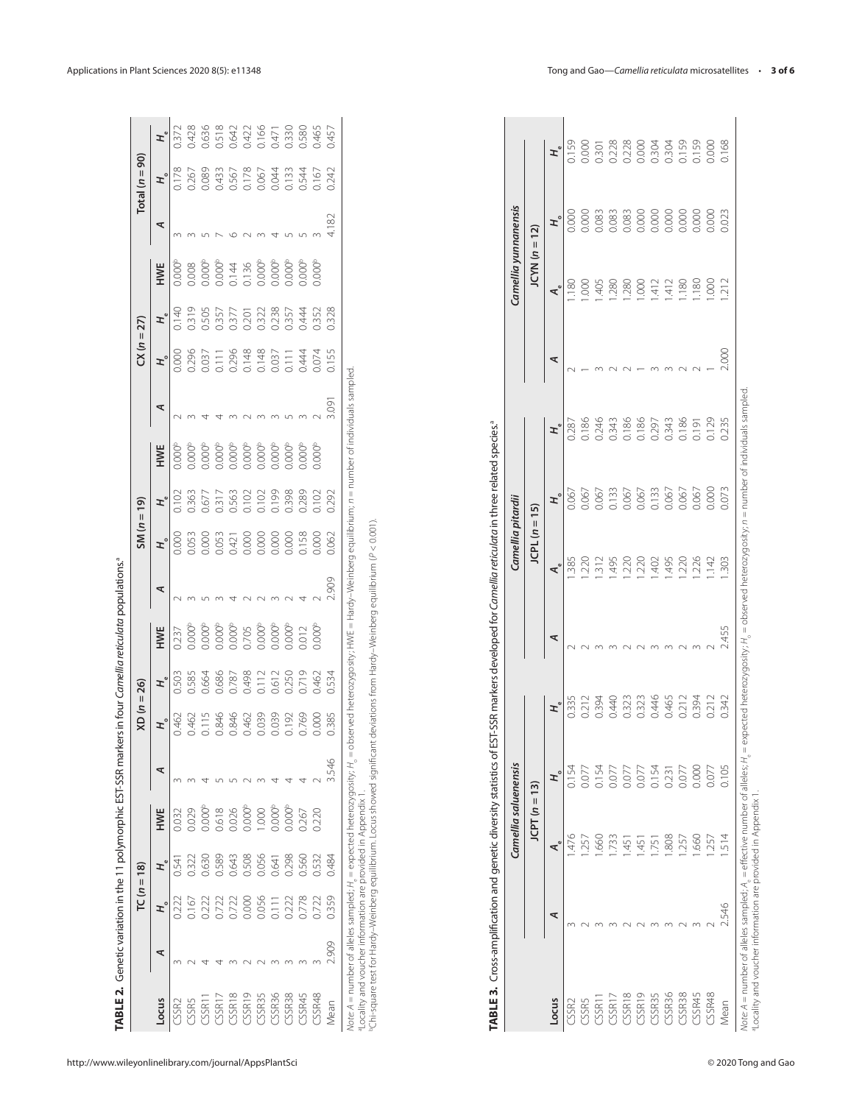|                                                                                                                                                                                                                                                               |      | $TC (n = 18)$                                                                                                                                                                                                                                                                                         |                |                                                                                                                                                                |   | $XD (n = 26)$                                                                                                                                                                                                                                                                                                 |                                           |                                              |        | $SM(n = 19)$                                                                                                                      |                                           |                    |    | $CX (n = 27)$                             |     |     | $Total (n = 90)$                                                                                                                                                                                                                                                                                    |  |
|---------------------------------------------------------------------------------------------------------------------------------------------------------------------------------------------------------------------------------------------------------------|------|-------------------------------------------------------------------------------------------------------------------------------------------------------------------------------------------------------------------------------------------------------------------------------------------------------|----------------|----------------------------------------------------------------------------------------------------------------------------------------------------------------|---|---------------------------------------------------------------------------------------------------------------------------------------------------------------------------------------------------------------------------------------------------------------------------------------------------------------|-------------------------------------------|----------------------------------------------|--------|-----------------------------------------------------------------------------------------------------------------------------------|-------------------------------------------|--------------------|----|-------------------------------------------|-----|-----|-----------------------------------------------------------------------------------------------------------------------------------------------------------------------------------------------------------------------------------------------------------------------------------------------------|--|
| -ocus                                                                                                                                                                                                                                                         |      |                                                                                                                                                                                                                                                                                                       |                | HWE                                                                                                                                                            | ⋖ |                                                                                                                                                                                                                                                                                                               |                                           | <b>HWE</b>                                   | ₹      | F,                                                                                                                                |                                           | HWE                | ⋖  | $E^{\circ}$                               | HWE | ⋖   | $H_{\circ}$                                                                                                                                                                                                                                                                                         |  |
| CSSR <sub>2</sub>                                                                                                                                                                                                                                             |      |                                                                                                                                                                                                                                                                                                       | 0.541          | 0.032                                                                                                                                                          |   | 0.462                                                                                                                                                                                                                                                                                                         | 0.503                                     | .237                                         |        | 000.0                                                                                                                             | 201,02                                    | $000^t$            |    | 000                                       | 000 |     | 0.178                                                                                                                                                                                                                                                                                               |  |
|                                                                                                                                                                                                                                                               |      | $-167$                                                                                                                                                                                                                                                                                                | 0.322          | 0.029                                                                                                                                                          |   |                                                                                                                                                                                                                                                                                                               | 1.585                                     | 0.000 <sup>b</sup>                           |        | 0.053                                                                                                                             | 0.363                                     |                    |    | 0.296                                     |     |     | 0.267                                                                                                                                                                                                                                                                                               |  |
|                                                                                                                                                                                                                                                               |      |                                                                                                                                                                                                                                                                                                       | 0.630          | 0.000 <sup>b</sup>                                                                                                                                             |   |                                                                                                                                                                                                                                                                                                               | 0.664                                     | 0.000 <sup>b</sup>                           |        |                                                                                                                                   | 0.677                                     | 1.000 <sup>b</sup> |    |                                           |     |     |                                                                                                                                                                                                                                                                                                     |  |
| $\begin{array}{l} \text{CSSE} \\ \text{CSSE1} \\ \text{CSSE1} \\ \text{CSSE2} \\ \text{CSSE3} \\ \text{CSSE3} \\ \text{CSSE3} \\ \text{CSSE3} \\ \text{CSSE3} \\ \text{CSSE3} \\ \text{CSSE3} \\ \text{CSSE3} \\ \text{CSSE3} \\ \text{CSSE3} \\ \end{array}$ |      | $\begin{array}{l} 222 \\ 272 \\ 0.723 \\ 0.000 \\ 0.000 \\ 0.01 \\ 0.000 \\ 0.000 \\ 0.000 \\ 0.000 \\ 0.000 \\ 0.000 \\ 0.000 \\ 0.000 \\ 0.000 \\ 0.000 \\ 0.000 \\ 0.000 \\ 0.000 \\ 0.000 \\ 0.000 \\ 0.000 \\ 0.000 \\ 0.000 \\ 0.000 \\ 0.000 \\ 0.000 \\ 0.000 \\ 0.000 \\ 0.000 \\ 0.000 \\ $ | 0.589          |                                                                                                                                                                |   | $\begin{array}{l} 147 \\ 11846 \\ 16846 \\ 1846 \\ 1600 \\ 1600 \\ 1600 \\ 1600 \\ 1600 \\ 1600 \\ 1600 \\ 1600 \\ 1600 \\ 1600 \\ 1600 \\ 1600 \\ 1600 \\ 1600 \\ 1600 \\ 1600 \\ 1600 \\ 1600 \\ 1600 \\ 1600 \\ 1600 \\ 1600 \\ 1600 \\ 1600 \\ 1600 \\ 1600 \\ 1600 \\ 1600 \\ 1600 \\ 1600 \\ 1600 \\ 1$ | 0.686                                     | 0.000 <sup>b</sup>                           |        | $\begin{array}{l} 0.000 \\ 0.011 \\ 0.011 \\ 0.000 \\ 0.000 \\ 0.000 \\ 0.000 \\ 0.000 \\ 0.000 \\ 0.000 \\ 0.000 \\ \end{array}$ | 0.317                                     |                    |    | 1.037                                     |     |     | $\begin{array}{c} 0.089 \\ 0.433 \\ 0.567 \\ 0.087 \\ 0.000 \\ 0.000 \\ 0.004 \\ 0.004 \\ 0.004 \\ 0.004 \\ 0.004 \\ 0.000 \\ 0.000 \\ 0.000 \\ 0.000 \\ 0.000 \\ 0.000 \\ 0.000 \\ 0.000 \\ 0.000 \\ 0.000 \\ 0.000 \\ 0.000 \\ 0.000 \\ 0.000 \\ 0.000 \\ 0.000 \\ 0.000 \\ 0.000 \\ 0.000 \\ 0.$ |  |
|                                                                                                                                                                                                                                                               |      |                                                                                                                                                                                                                                                                                                       | 0.643          |                                                                                                                                                                |   |                                                                                                                                                                                                                                                                                                               | 0.787                                     |                                              |        |                                                                                                                                   | 0.563<br>0.102                            |                    |    |                                           |     |     |                                                                                                                                                                                                                                                                                                     |  |
|                                                                                                                                                                                                                                                               |      |                                                                                                                                                                                                                                                                                                       | 0.508          | 0.618<br>0.026<br>0.000 0.000<br>0.000 0.257<br>0.220                                                                                                          |   |                                                                                                                                                                                                                                                                                                               | 0.498<br>0.112<br>0.250<br>0.719<br>0.462 | 0.000<br>0.705<br>0.0000<br>0.00012<br>0.012 |        |                                                                                                                                   |                                           |                    |    | 0.296<br>0.148<br>0.148<br>0.037<br>0.044 |     |     |                                                                                                                                                                                                                                                                                                     |  |
|                                                                                                                                                                                                                                                               |      |                                                                                                                                                                                                                                                                                                       | 0.056<br>0.641 |                                                                                                                                                                |   |                                                                                                                                                                                                                                                                                                               |                                           |                                              |        |                                                                                                                                   |                                           |                    |    |                                           |     |     |                                                                                                                                                                                                                                                                                                     |  |
|                                                                                                                                                                                                                                                               |      |                                                                                                                                                                                                                                                                                                       |                |                                                                                                                                                                |   |                                                                                                                                                                                                                                                                                                               |                                           |                                              |        |                                                                                                                                   |                                           |                    |    |                                           |     |     |                                                                                                                                                                                                                                                                                                     |  |
|                                                                                                                                                                                                                                                               |      |                                                                                                                                                                                                                                                                                                       | 0.298          |                                                                                                                                                                |   |                                                                                                                                                                                                                                                                                                               |                                           |                                              |        |                                                                                                                                   | 0.102<br>0.199<br>0.398<br>0.289<br>0.102 |                    |    |                                           |     |     |                                                                                                                                                                                                                                                                                                     |  |
|                                                                                                                                                                                                                                                               |      |                                                                                                                                                                                                                                                                                                       | 0.560          |                                                                                                                                                                |   |                                                                                                                                                                                                                                                                                                               |                                           |                                              |        |                                                                                                                                   |                                           |                    |    |                                           |     |     |                                                                                                                                                                                                                                                                                                     |  |
| CSSR48                                                                                                                                                                                                                                                        |      |                                                                                                                                                                                                                                                                                                       | 0.532          |                                                                                                                                                                |   |                                                                                                                                                                                                                                                                                                               |                                           | 0.000 <sup>t</sup>                           |        |                                                                                                                                   |                                           |                    |    |                                           |     |     |                                                                                                                                                                                                                                                                                                     |  |
| /lean                                                                                                                                                                                                                                                         | 006. | 0.359                                                                                                                                                                                                                                                                                                 | 0.484          |                                                                                                                                                                |   | 0.385                                                                                                                                                                                                                                                                                                         | 0.534                                     |                                              | $-909$ | 0.062                                                                                                                             | 0.292                                     |                    | ġ. | 2.155                                     |     | 187 | 0.242                                                                                                                                                                                                                                                                                               |  |
|                                                                                                                                                                                                                                                               |      |                                                                                                                                                                                                                                                                                                       |                | ote: 4 = pumber of allales sampled: H = expected beterozygosity: H = observed beterozygosity: HA/E = Hardy-Weipberg equilibrium: n = pumber of induals sampled |   |                                                                                                                                                                                                                                                                                                               |                                           |                                              |        |                                                                                                                                   |                                           |                    |    |                                           |     |     |                                                                                                                                                                                                                                                                                                     |  |

| CSSR2<br>CSSR5<br>Locus |                                                                                                                                                  | F,               | $TC (n = 18)$  |                      |                      | XD (n              | $= 26$         |                             |                    | $SM (n = 19)$     |                |                                          |                          |                                            | $CX (n = 27)$           |                           |                   | $\overline{90}$<br>Total $(n =$ |                         |
|-------------------------|--------------------------------------------------------------------------------------------------------------------------------------------------|------------------|----------------|----------------------|----------------------|--------------------|----------------|-----------------------------|--------------------|-------------------|----------------|------------------------------------------|--------------------------|--------------------------------------------|-------------------------|---------------------------|-------------------|---------------------------------|-------------------------|
|                         | ≂                                                                                                                                                |                  | エ゚             | HWE                  | ⋖                    | $\mathbf{r}_\circ$ | ヹ              | HWE                         | ≂                  | F,                | エ゚             | HWE                                      | ⋖                        | $H_{\circ}$                                | $\mathbf{r}_\mathrm{e}$ | HWE                       | ⋖                 | F.                              | $\mathbf{r}_\mathrm{e}$ |
|                         | S<br>$\sim$                                                                                                                                      | 0.222<br>0.167   | 0.322<br>0.541 | 0.029<br>0.032       | S<br>$\infty$        | 0.462<br>0.462     | 0.585<br>0.503 | 0.000 <sup>b</sup><br>0.237 | $\sim$<br>$\infty$ | 0.053<br>0.000    | 0.363<br>0.102 | 0.000 <sup>b</sup><br>0.000 <sup>b</sup> | $\sim$<br>$\infty$       | 0.296<br>0.000                             | 0.319<br>0.140          | 0.000°<br>0.008           | S<br>$\infty$     | 0.178<br>0.267                  | 0.428<br>0.372          |
| CSSR11                  | 4                                                                                                                                                | 0.222            | 0.630          | 0.000 <sup>b</sup>   | 4                    | 0.115              | 0.664          | 0.000 <sup>b</sup>          | $\sqrt{2}$         | 0.000             | 0.677          | 0.000 <sup>b</sup>                       | $\overline{\phantom{a}}$ | 0.037                                      | 0.505                   | 0.000 <sup>b</sup>        |                   | 0.089                           | 0.636                   |
| CSSR17                  |                                                                                                                                                  | 0.722            | 0.589          | 0.618                |                      | 0.846              | 0.686          | $0.000^{\mathrm{b}}$        | $\sim$             | 0.053             | 0.317          | $0.000^{\mathrm{b}}$                     |                          | 0.111                                      | 0.357                   | 0.000 <sup>b</sup>        | 52                | 0.433                           | 0.518                   |
| CSSR18                  |                                                                                                                                                  | 0.722            | 0.643          | 0.026                | <u>539999</u>        | 0.846              | 0.787          | 0.000 <sup>b</sup>          | $\overline{4}$     | 0.421             | 0.563          | 0.000 <sup>b</sup>                       | 4w                       | 0.296                                      | 0.377                   | 0.144                     | $0$ $N$ $m$ $4$   | 0.567                           | 0.642                   |
| CSSR19                  |                                                                                                                                                  | 0.000            | 0.508          | 0.000 <sup>b</sup>   |                      | 0.462              | 0.498          | 0.705                       | $\sim \sim$        | 0.000             | 0.102          | 0.000 <sup>b</sup>                       | $\sim$ $\sim$            | 0.148                                      | 0.201                   | 0.136                     |                   | 0.178                           | 0.422                   |
| CSSR35                  |                                                                                                                                                  | 0.056            | 0.056          | 1.000                |                      | 0.039              | 0.112          | 0.000 <sup>b</sup>          |                    | 0.000             | 0.102          | 0.000 <sup>b</sup>                       |                          | 0.148                                      | 0.322                   | 0.000 <sup>b</sup>        |                   | 0.067                           | 0.166                   |
| CSSR36                  |                                                                                                                                                  | 0.111            | 0.641          | 0.000 <sup>b</sup>   | 4                    | 0.039              | 0.612          | 0.000 <sup>b</sup>          | $\sim$             | 0.000             | 0.199          | 0.000 <sup>b</sup>                       | $\infty$                 | 0.037                                      | 0.238                   | 0.000 <sup>b</sup>        |                   | 0.044                           | 0.471                   |
| CSSR38                  |                                                                                                                                                  | 0.222            | 0.298          | 0.000 <sup>b</sup>   | 4                    | 0.192              | 0.250          | 0.000 <sup>b</sup>          | $\sim$             | 0.000             | 0.398          | 0.000 <sup>b</sup>                       | $\mathsf{L}\cap$         | 0.111                                      | 0.357                   | 0.000 <sup>b</sup>        | $\sqrt{2}$        | 0.133                           | 0.330                   |
| CSSR45                  | $\infty$                                                                                                                                         | 0.778            | 0.560          | 0.267                | 4                    | 0.769              | 0.719          | 0.012                       | $\overline{4}$     | 0.158             | 0.289          | 0.000 <sup>b</sup>                       | $\sim$                   | 0.444                                      | 0.444                   | 0.000 <sup>b</sup>        | $\cup$            | 0.544                           | 0.580                   |
| CSSR48<br>Mean          | 2.909<br>$\sim$                                                                                                                                  | 0.359<br>0.722   | 0.532<br>0.484 | 0.220                | 546<br>ന്            | 0.000<br>0.385     | 0.462<br>0.534 | 0.000 <sup>b</sup>          | 2.909<br>$\sim$    | 0.000<br>0.062    | 0.102<br>0.292 | 0.000 <sup>b</sup>                       | 3.091                    | 0.074<br>0.155                             | 0.352<br>0.328          | 0.000 <sup>b</sup>        | 4.182<br>$\infty$ | 0.242<br>0.167                  | 0.465<br>0.457          |
| TABLE <sub>3</sub> .    | Cross-amplification and genetic diversity statistics of EST-SSR markers developed for Camellia reticulata in three related species. <sup>ª</sup> |                  |                |                      |                      |                    |                |                             |                    |                   |                |                                          |                          |                                            |                         |                           |                   |                                 |                         |
|                         |                                                                                                                                                  |                  |                | Camellia saluenensis |                      |                    |                |                             |                    | Camellia pitardii |                |                                          |                          |                                            |                         | Camellia yunnanensis      |                   |                                 |                         |
|                         |                                                                                                                                                  |                  |                | $JCPT(n=$            | $\overline{13}$      |                    |                |                             |                    | $JCPL (n = 15)$   |                |                                          |                          |                                            |                         | $JCYN(n =$                | (2)               |                                 |                         |
| Locus                   |                                                                                                                                                  | ⋖                | ⊲°             |                      | $\mathbf{r}^{\circ}$ | エ゚                 |                | ≂                           | ∢°                 |                   | Ξ,             |                                          | エ゚                       | ≂                                          |                         | $\mathbf{A}^{\mathbf{C}}$ | Ξ,                |                                 | エ゚                      |
| CSSR2                   |                                                                                                                                                  |                  | 1.476          |                      | 0.154                | 0.335              |                |                             | 1.385              |                   | 0.067          |                                          | 0.287                    | $\sim$                                     |                         | 1.180                     | 0.000             |                                 | 0.159                   |
| CSSR5                   |                                                                                                                                                  | $\sim$           | 1.257          |                      | 0.077                | 0.212              |                | 22332                       | 1.220              |                   | 0.067          |                                          | 0.186                    |                                            |                         | 1.000                     | 0.000             |                                 | 0.000                   |
| CSSR11                  |                                                                                                                                                  | $\infty$         | 1.660          |                      | 0.154                | 0.394              |                |                             | .312               |                   | 0.067          |                                          | 0.246                    | $\begin{array}{c} 0 \\ 0 \\ 0 \end{array}$ |                         | 1.405                     | 0.083             |                                 | 0.301                   |
| CSSR17                  |                                                                                                                                                  | $\infty$         | 1.733          |                      | 0.077                | 0.440              |                |                             | .495               |                   | 0.133          |                                          | 0.343                    |                                            |                         | 1,280                     | 0.083             |                                 | 0.228                   |
| CSSR18                  |                                                                                                                                                  | $\sim$           | 1.451          |                      | 0.077                | 0.323              |                |                             | 1.220              |                   | 0.067          |                                          | 0.186                    |                                            |                         | 1.280                     | 0.083             |                                 | 0.228                   |
| CSSR19                  |                                                                                                                                                  | $\sim$           | 1.451          |                      | 0.077                | 0.323              |                |                             | 1.220              |                   | 0.067          |                                          | 0.186                    |                                            |                         | 1.000                     | 0.000             |                                 | 0.000                   |
| CSSR35<br>CSSR36        |                                                                                                                                                  | $\infty$         | 1.751          |                      | 0.154                | 0.446              |                | $m$ $m$ $N$ $m$ $N$         | 402                |                   | 0.133          |                                          | 0.297                    | $m$ $m$ $N$ $N$                            |                         | 1.412                     | 0.000             |                                 | 0.304                   |
|                         |                                                                                                                                                  | $\sim$           | 1.808          |                      | 0.231                | 0.465              |                |                             | .495               |                   | 0.067          |                                          | 0.343                    |                                            |                         | 1.412                     | 0.000             |                                 | 0.304                   |
| CSSR38<br>CSSR45        |                                                                                                                                                  | $\sim$<br>$\sim$ | 1.660<br>1.257 |                      | 0.000<br>0.077       | 0.394<br>0.212     |                |                             | .220<br>.226       |                   | 0.067<br>0.067 |                                          | 0.186<br>0.191           |                                            |                         | 1.180<br>1.180            | 0.000<br>0.000    |                                 | 0.159<br>0.159          |
| CSSR48                  |                                                                                                                                                  |                  | 1.257          |                      | 0.077                | 0.212              |                |                             | .142               |                   | 0.000          |                                          | 0.129                    |                                            |                         | 1.000                     | 0.000             |                                 | 0.000                   |
| Mean                    |                                                                                                                                                  | 546              | 1.514          |                      | 0.105                | 0.342              |                | 2.455                       | 1.303              |                   | 0.073          |                                          | 0.235                    | 2.000                                      |                         | 1.212                     | 0.023             |                                 | 0.168                   |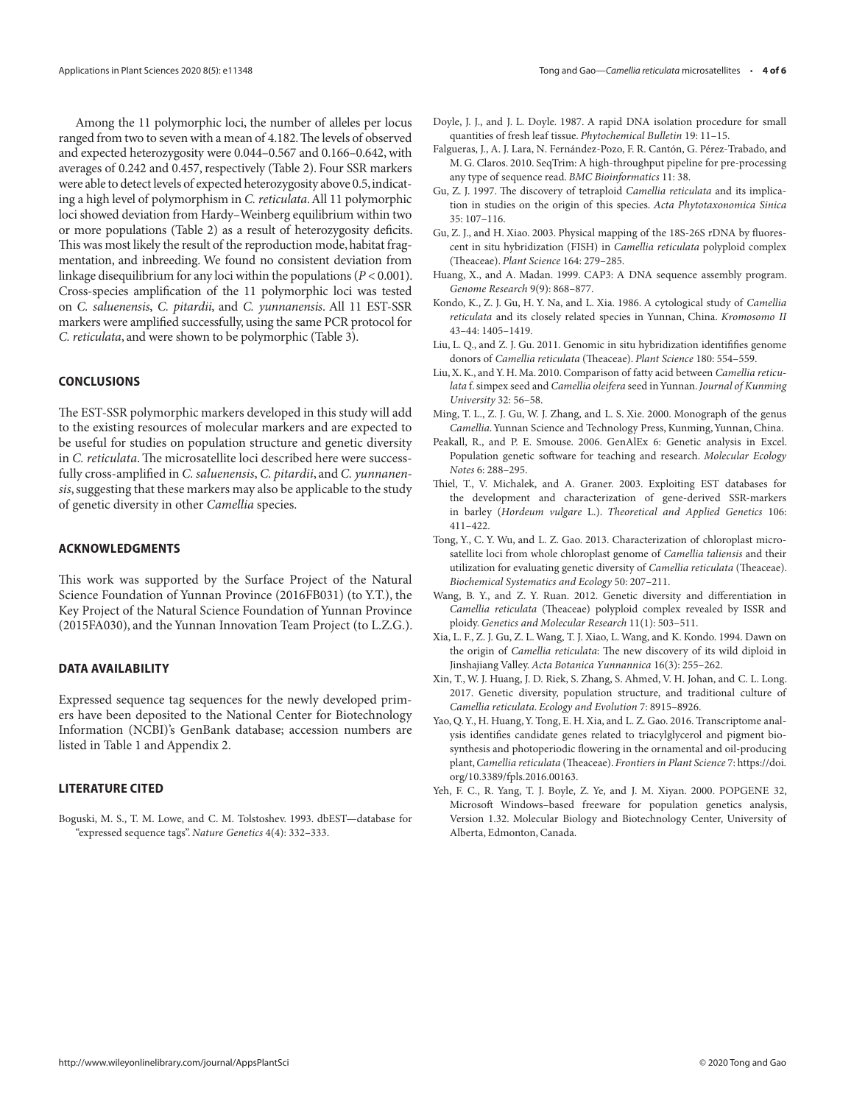Among the 11 polymorphic loci, the number of alleles per locus ranged from two to seven with a mean of 4.182. The levels of observed and expected heterozygosity were 0.044–0.567 and 0.166–0.642, with averages of 0.242 and 0.457, respectively (Table 2). Four SSR markers were able to detect levels of expected heterozygosity above 0.5, indicating a high level of polymorphism in *C. reticulata*. All 11 polymorphic loci showed deviation from Hardy–Weinberg equilibrium within two or more populations (Table 2) as a result of heterozygosity deficits. This was most likely the result of the reproduction mode, habitat fragmentation, and inbreeding. We found no consistent deviation from linkage disequilibrium for any loci within the populations (*P* < 0.001). Cross-species amplification of the 11 polymorphic loci was tested on *C. saluenensis*, *C. pitardii*, and *C. yunnanensis*. All 11 EST-SSR markers were amplified successfully, using the same PCR protocol for *C. reticulata*, and were shown to be polymorphic (Table 3).

#### **CONCLUSIONS**

The EST-SSR polymorphic markers developed in this study will add to the existing resources of molecular markers and are expected to be useful for studies on population structure and genetic diversity in *C. reticulata*. The microsatellite loci described here were successfully cross-amplified in *C. saluenensis*, *C. pitardii*, and *C. yunnanensis*, suggesting that these markers may also be applicable to the study of genetic diversity in other *Camellia* species.

#### **ACKNOWLEDGMENTS**

This work was supported by the Surface Project of the Natural Science Foundation of Yunnan Province (2016FB031) (to Y.T.), the Key Project of the Natural Science Foundation of Yunnan Province (2015FA030), and the Yunnan Innovation Team Project (to L.Z.G.).

#### **DATA AVAILABILITY**

Expressed sequence tag sequences for the newly developed primers have been deposited to the National Center for Biotechnology Information (NCBI)'s GenBank database; accession numbers are listed in Table 1 and Appendix 2.

## **LITERATURE CITED**

Boguski, M. S., T. M. Lowe, and C. M. Tolstoshev. 1993. dbEST—database for "expressed sequence tags". *Nature Genetics* 4(4): 332–333.

- Doyle, J. J., and J. L. Doyle. 1987. A rapid DNA isolation procedure for small quantities of fresh leaf tissue. *Phytochemical Bulletin* 19: 11–15.
- Falgueras, J., A. J. Lara, N. Fernández-Pozo, F. R. Cantón, G. Pérez-Trabado, and M. G. Claros. 2010. SeqTrim: A high-throughput pipeline for pre-processing any type of sequence read. *BMC Bioinformatics* 11: 38.
- Gu, Z. J. 1997. The discovery of tetraploid *Camellia reticulata* and its implication in studies on the origin of this species. *Acta Phytotaxonomica Sinica* 35: 107–116.
- Gu, Z. J., and H. Xiao. 2003. Physical mapping of the 18S-26S rDNA by fluorescent in situ hybridization (FISH) in *Camellia reticulata* polyploid complex (Theaceae). *Plant Science* 164: 279–285.
- Huang, X., and A. Madan. 1999. CAP3: A DNA sequence assembly program. *Genome Research* 9(9): 868–877.
- Kondo, K., Z. J. Gu, H. Y. Na, and L. Xia. 1986. A cytological study of *Camellia reticulata* and its closely related species in Yunnan, China. *Kromosomo II* 43–44: 1405–1419.
- Liu, L. Q., and Z. J. Gu. 2011. Genomic in situ hybridization identififies genome donors of *Camellia reticulata* (Theaceae). *Plant Science* 180: 554–559.
- Liu, X. K., and Y. H. Ma. 2010. Comparison of fatty acid between *Camellia reticulata* f. simpex seed and *Camellia oleifera* seed in Yunnan. *Journal of Kunming University* 32: 56–58.
- Ming, T. L., Z. J. Gu, W. J. Zhang, and L. S. Xie. 2000. Monograph of the genus *Camellia*. Yunnan Science and Technology Press, Kunming, Yunnan, China.
- Peakall, R., and P. E. Smouse. 2006. GenAlEx 6: Genetic analysis in Excel. Population genetic software for teaching and research. *Molecular Ecology Notes* 6: 288–295.
- Thiel, T., V. Michalek, and A. Graner. 2003. Exploiting EST databases for the development and characterization of gene-derived SSR-markers in barley (*Hordeum vulgare* L.). *Theoretical and Applied Genetics* 106: 411–422.
- Tong, Y., C. Y. Wu, and L. Z. Gao. 2013. Characterization of chloroplast microsatellite loci from whole chloroplast genome of *Camellia taliensis* and their utilization for evaluating genetic diversity of *Camellia reticulata* (Theaceae). *Biochemical Systematics and Ecology* 50: 207–211.
- Wang, B. Y., and Z. Y. Ruan. 2012. Genetic diversity and differentiation in *Camellia reticulata* (Theaceae) polyploid complex revealed by ISSR and ploidy. *Genetics and Molecular Research* 11(1): 503–511.
- Xia, L. F., Z. J. Gu, Z. L. Wang, T. J. Xiao, L. Wang, and K. Kondo. 1994. Dawn on the origin of *Camellia reticulata*: The new discovery of its wild diploid in Jinshajiang Valley. *Acta Botanica Yunnannica* 16(3): 255–262.
- Xin, T., W. J. Huang, J. D. Riek, S. Zhang, S. Ahmed, V. H. Johan, and C. L. Long. 2017. Genetic diversity, population structure, and traditional culture of *Camellia reticulata*. *Ecology and Evolution* 7: 8915–8926.
- Yao, Q. Y., H. Huang, Y. Tong, E. H. Xia, and L. Z. Gao. 2016. Transcriptome analysis identifies candidate genes related to triacylglycerol and pigment biosynthesis and photoperiodic flowering in the ornamental and oil-producing plant, *Camellia reticulata* (Theaceae). *Frontiers in Plant Science* 7: [https://doi.](https://doi.org/10.3389/fpls.2016.00163) [org/10.3389/fpls.2016.00163](https://doi.org/10.3389/fpls.2016.00163).
- Yeh, F. C., R. Yang, T. J. Boyle, Z. Ye, and J. M. Xiyan. 2000. POPGENE 32, Microsoft Windows–based freeware for population genetics analysis, Version 1.32. Molecular Biology and Biotechnology Center, University of Alberta, Edmonton, Canada.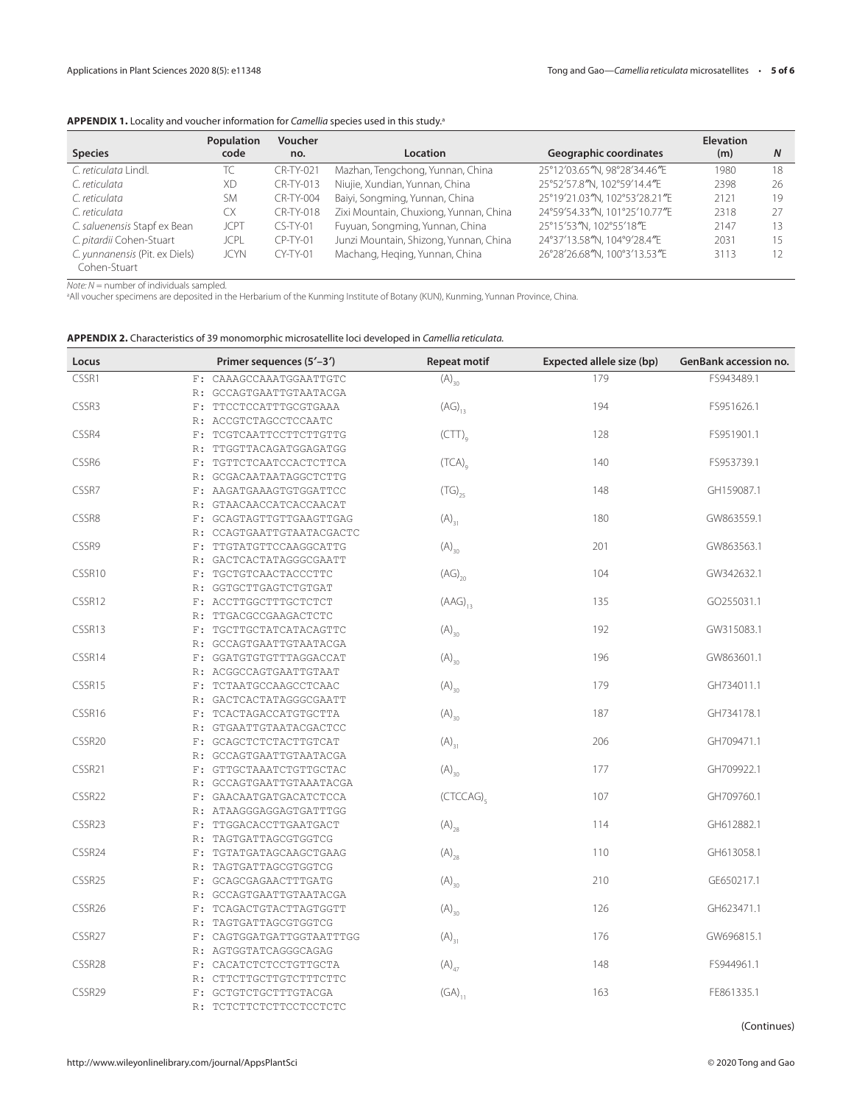# APPENDIX 1. Locality and voucher information for *Camellia* species used in this study.<sup>a</sup>

|                                                | Population  | Voucher          |                                        |                               | <b>Elevation</b> |    |
|------------------------------------------------|-------------|------------------|----------------------------------------|-------------------------------|------------------|----|
| <b>Species</b>                                 | code        | no.              | <b>Location</b>                        | <b>Geographic coordinates</b> | (m)              | N  |
| C. reticulata Lindl.                           | ТC          | <b>CR-TY-021</b> | Mazhan, Tengchong, Yunnan, China       | 25°12'03.65"N, 98°28'34.46"E  | 1980             | 18 |
| C. reticulata                                  | <b>XD</b>   | CR-TY-013        | Niujie, Xundian, Yunnan, China         | 25°52'57.8"N, 102°59'14.4"E   | 2398             | 26 |
| C. reticulata                                  | <b>SM</b>   | <b>CR-TY-004</b> | Baiyi, Songming, Yunnan, China         | 25°19'21.03"N, 102°53'28.21"E | 2121             | 19 |
| C. reticulata                                  | CX          | CR-TY-018        | Zixi Mountain, Chuxiong, Yunnan, China | 24°59'54.33"N, 101°25'10.77"E | 2318             | 27 |
| C. saluenensis Stapf ex Bean                   | <b>JCPT</b> | $CS-TY-01$       | Fuyuan, Songming, Yunnan, China        | 25°15'53"N, 102°55'18"E       | 2147             | 13 |
| C. pitardii Cohen-Stuart                       | JCPL        | $CP-TY-01$       | Junzi Mountain, Shizong, Yunnan, China | 24°37'13.58"N, 104°9'28.4"E   | 2031             | 15 |
| C. yunnanensis (Pit. ex Diels)<br>Cohen-Stuart | <b>JCYN</b> | $CY-TY-01$       | Machang, Heging, Yunnan, China         | 26°28'26.68"N, 100°3'13.53"E  | 3113             | 12 |

Note: N = number of individuals sampled.<br>ªAll voucher specimens are deposited in the Herbarium of the Kunming Institute of Botany (KUN), Kunming, Yunnan Province, China.

| <b>APPENDIX 2.</b> Characteristics of 39 monomorphic microsatellite loci developed in Camellia reticulata. |  |  |  |
|------------------------------------------------------------------------------------------------------------|--|--|--|
|------------------------------------------------------------------------------------------------------------|--|--|--|

| Locus              |       | Primer sequences (5'-3')  | <b>Repeat motif</b>                                 | Expected allele size (bp) | GenBank accession no. |
|--------------------|-------|---------------------------|-----------------------------------------------------|---------------------------|-----------------------|
| CSSR1              |       | F: CAAAGCCAAATGGAATTGTC   | $(A)_{30}$                                          | 179                       | FS943489.1            |
|                    | R:    | GCCAGTGAATTGTAATACGA      |                                                     |                           |                       |
| CSSR3              | F:    | TTCCTCCATTTGCGTGAAA       | $(AG)_{13}$                                         | 194                       | FS951626.1            |
|                    | R:    | ACCGTCTAGCCTCCAATC        |                                                     |                           |                       |
| CSSR4              | F:    | TCGTCAATTCCTTCTTGTTG      | $\left(\mathsf{CTT}\right)_{\scriptscriptstyle{Q}}$ | 128                       | FS951901.1            |
|                    | R:    | TTGGTTACAGATGGAGATGG      |                                                     |                           |                       |
| CSSR6              |       | F: TGTTCTCAATCCACTCTTCA   | $(TCA)$ <sub>9</sub>                                | 140                       | FS953739.1            |
|                    | R:    | GCGACAATAATAGGCTCTTG      |                                                     |                           |                       |
| CSSR7              |       | F: AAGATGAAAGTGTGGATTCC   | $(TG)_{25}$                                         | 148                       | GH159087.1            |
|                    | R:    | GTAACAACCATCACCAACAT      |                                                     |                           |                       |
| CSSR8              | F:    | GCAGTAGTTGTTGAAGTTGAG     | $(A)_{31}$                                          | 180                       | GW863559.1            |
|                    |       | R: CCAGTGAATTGTAATACGACTC |                                                     |                           |                       |
| CSSR9              | $F$ : | TTGTATGTTCCAAGGCATTG      | $(A)_{30}$                                          | 201                       | GW863563.1            |
|                    | R:    | GACTCACTATAGGGCGAATT      |                                                     |                           |                       |
| CSSR10             | F:    | TGCTGTCAACTACCCTTC        | $\left( \mathsf{AG} \right)_{20}$                   | 104                       | GW342632.1            |
|                    | R:    | GGTGCTTGAGTCTGTGAT        |                                                     |                           |                       |
| CSSR12             |       | F: ACCTTGGCTTTGCTCTCT     | $(AAG)_{13}$                                        | 135                       | GO255031.1            |
|                    | R:    | TTGACGCCGAAGACTCTC        |                                                     |                           |                       |
| CSSR13             | F:    | TGCTTGCTATCATACAGTTC      | $(A)_{30}$                                          | 192                       | GW315083.1            |
|                    | R:    | GCCAGTGAATTGTAATACGA      |                                                     |                           |                       |
| CSSR14             |       | F: GGATGTGTGTTTAGGACCAT   | $(A)_{30}$                                          | 196                       | GW863601.1            |
|                    |       | R: ACGGCCAGTGAATTGTAAT    |                                                     |                           |                       |
| CSSR15             | $F$ : | TCTAATGCCAAGCCTCAAC       | $(A)_{30}$                                          | 179                       | GH734011.1            |
|                    |       | R: GACTCACTATAGGGCGAATT   |                                                     |                           |                       |
| CSSR16             | F:    | TCACTAGACCATGTGCTTA       | $(A)_{30}$                                          | 187                       | GH734178.1            |
|                    |       | R: GTGAATTGTAATACGACTCC   |                                                     |                           |                       |
| CSSR <sub>20</sub> | F:    | GCAGCTCTCTACTTGTCAT       | $(A)_{31}$                                          | 206                       | GH709471.1            |
|                    | R:    | GCCAGTGAATTGTAATACGA      |                                                     |                           |                       |
| CSSR21             |       | F: GTTGCTAAATCTGTTGCTAC   | $(A)_{30}$                                          | 177                       | GH709922.1            |
|                    | R:    | GCCAGTGAATTGTAAATACGA     |                                                     |                           |                       |
| CSSR22             | F:    | GAACAATGATGACATCTCCA      | $(CTCCAG)_{5}$                                      | 107                       | GH709760.1            |
|                    |       | R: ATAAGGGAGGAGTGATTTGG   |                                                     |                           |                       |
| CSSR23             | F:    | TTGGACACCTTGAATGACT       | $(A)_{28}$                                          | 114                       | GH612882.1            |
|                    | R:    | TAGTGATTAGCGTGGTCG        |                                                     |                           |                       |
| CSSR24             | $F$ : | TGTATGATAGCAAGCTGAAG      | $\left(\mathsf{A}\right)_{\mathsf{28}}$             | 110                       | GH613058.1            |
|                    | R:    | TAGTGATTAGCGTGGTCG        |                                                     |                           |                       |
| CSSR25             | F:    | GCAGCGAGAACTTTGATG        | $(A)_{30}$                                          | 210                       | GE650217.1            |
|                    |       | R: GCCAGTGAATTGTAATACGA   |                                                     |                           |                       |
| CSSR <sub>26</sub> | $F$ : | TCAGACTGTACTTAGTGGTT      | $(A)_{30}$                                          | 126                       | GH623471.1            |
|                    | R:    | TAGTGATTAGCGTGGTCG        |                                                     |                           |                       |
| CSSR27             | F:    | CAGTGGATGATTGGTAATTTGG    | $(A)_{31}$                                          | 176                       | GW696815.1            |
|                    |       | R: AGTGGTATCAGGGCAGAG     |                                                     |                           |                       |
| CSSR28             |       | F: CACATCTCTCCTGTTGCTA    | $(A)_{47}$                                          | 148                       | FS944961.1            |
|                    | R:    | CTTCTTGCTTGTCTTTCTTC      |                                                     |                           |                       |
| CSSR <sub>29</sub> |       | F: GCTGTCTGCTTTGTACGA     | $\left(\text{GA}\right)_{11}$                       | 163                       | FE861335.1            |
|                    |       | R: TCTCTTCTCTTCCTCCTCTC   |                                                     |                           |                       |

(Continues)